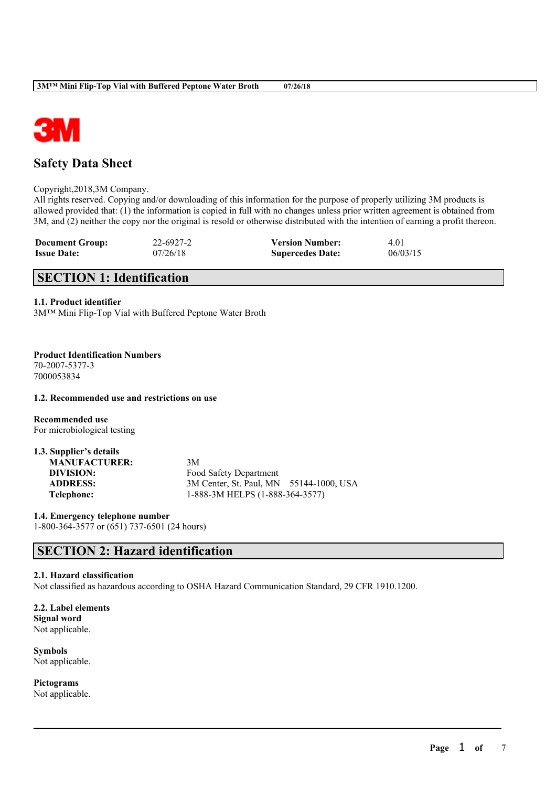

# **Safety Data Sheet**

Copyright,2018,3M Company.

All rights reserved. Copying and/or downloading of this information for the purpose of properly utilizing 3M products is allowed provided that: (1) the information is copied in full with no changes unless prior written agreement is obtained from 3M, and (2) neither the copy nor the original is resold or otherwise distributed with the intention of earning a profit thereon.

| <b>Document Group:</b> | 22-6927-2 | <b>Version Number:</b>  | 4.01     |
|------------------------|-----------|-------------------------|----------|
| <b>Issue Date:</b>     | 07/26/18  | <b>Supercedes Date:</b> | 06/03/15 |

# **SECTION 1: Identification**

### **1.1. Product identifier**

3M™ Mini Flip-Top Vial with Buffered Peptone Water Broth

**Product Identification Numbers** 70-2007-5377-3 7000053834

### **1.2. Recommended use and restrictions on use**

**Recommended use** For microbiological testing

| 1.3. Supplier's details |                                         |
|-------------------------|-----------------------------------------|
| <b>MANUFACTURER:</b>    | 3M                                      |
| DIVISION:               | Food Safety Department                  |
| <b>ADDRESS:</b>         | 3M Center, St. Paul, MN 55144-1000, USA |
| Telephone:              | 1-888-3M HELPS (1-888-364-3577)         |

**1.4. Emergency telephone number** 1-800-364-3577 or (651) 737-6501 (24 hours)

# **SECTION 2: Hazard identification**

### **2.1. Hazard classification**

Not classified as hazardous according to OSHA Hazard Communication Standard, 29 CFR 1910.1200.

 $\mathcal{L}_\mathcal{L} = \mathcal{L}_\mathcal{L} = \mathcal{L}_\mathcal{L} = \mathcal{L}_\mathcal{L} = \mathcal{L}_\mathcal{L} = \mathcal{L}_\mathcal{L} = \mathcal{L}_\mathcal{L} = \mathcal{L}_\mathcal{L} = \mathcal{L}_\mathcal{L} = \mathcal{L}_\mathcal{L} = \mathcal{L}_\mathcal{L} = \mathcal{L}_\mathcal{L} = \mathcal{L}_\mathcal{L} = \mathcal{L}_\mathcal{L} = \mathcal{L}_\mathcal{L} = \mathcal{L}_\mathcal{L} = \mathcal{L}_\mathcal{L}$ 

**2.2. Label elements Signal word** Not applicable.

**Symbols** Not applicable.

**Pictograms** Not applicable.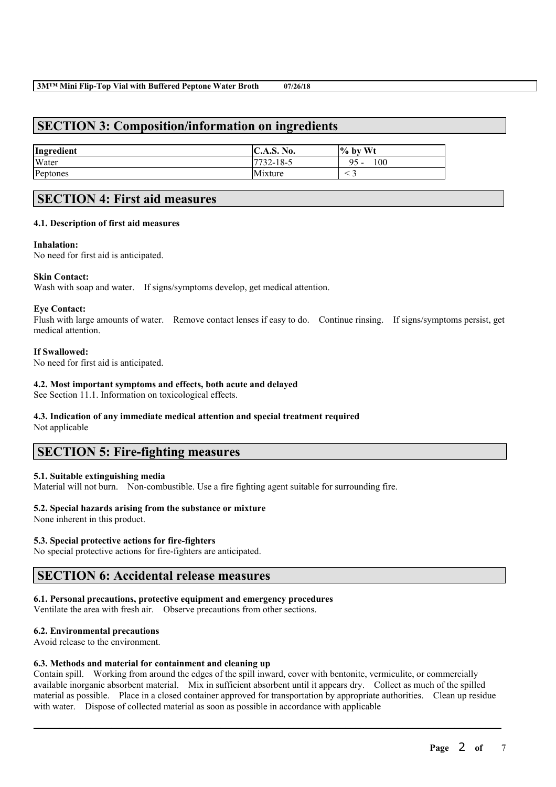# **SECTION 3: Composition/information on ingredients**

| Ingredient | C.A.S. No. | $\%$ by Wt     |
|------------|------------|----------------|
| Water      | 17732-18-5 | 100<br>95<br>- |
| Peptones   | Mixture    |                |

# **SECTION 4: First aid measures**

### **4.1. Description of first aid measures**

### **Inhalation:**

No need for first aid is anticipated.

### **Skin Contact:**

Wash with soap and water. If signs/symptoms develop, get medical attention.

### **Eye Contact:**

Flush with large amounts of water. Remove contact lenses if easy to do. Continue rinsing. If signs/symptoms persist, get medical attention.

### **If Swallowed:**

No need for first aid is anticipated.

### **4.2. Most important symptoms and effects, both acute and delayed**

See Section 11.1. Information on toxicological effects.

# **4.3. Indication of any immediate medical attention and special treatment required**

Not applicable

# **SECTION 5: Fire-fighting measures**

### **5.1. Suitable extinguishing media**

Material will not burn. Non-combustible. Use a fire fighting agent suitable for surrounding fire.

## **5.2. Special hazards arising from the substance or mixture**

None inherent in this product.

## **5.3. Special protective actions for fire-fighters**

No special protective actions for fire-fighters are anticipated.

# **SECTION 6: Accidental release measures**

## **6.1. Personal precautions, protective equipment and emergency procedures**

Ventilate the area with fresh air. Observe precautions from other sections.

### **6.2. Environmental precautions**

Avoid release to the environment.

## **6.3. Methods and material for containment and cleaning up**

Contain spill. Working from around the edges of the spill inward, cover with bentonite, vermiculite, or commercially available inorganic absorbent material. Mix in sufficient absorbent until it appears dry. Collect as much of the spilled material as possible. Place in a closed container approved for transportation by appropriate authorities. Clean up residue with water. Dispose of collected material as soon as possible in accordance with applicable

 $\mathcal{L}_\mathcal{L} = \mathcal{L}_\mathcal{L} = \mathcal{L}_\mathcal{L} = \mathcal{L}_\mathcal{L} = \mathcal{L}_\mathcal{L} = \mathcal{L}_\mathcal{L} = \mathcal{L}_\mathcal{L} = \mathcal{L}_\mathcal{L} = \mathcal{L}_\mathcal{L} = \mathcal{L}_\mathcal{L} = \mathcal{L}_\mathcal{L} = \mathcal{L}_\mathcal{L} = \mathcal{L}_\mathcal{L} = \mathcal{L}_\mathcal{L} = \mathcal{L}_\mathcal{L} = \mathcal{L}_\mathcal{L} = \mathcal{L}_\mathcal{L}$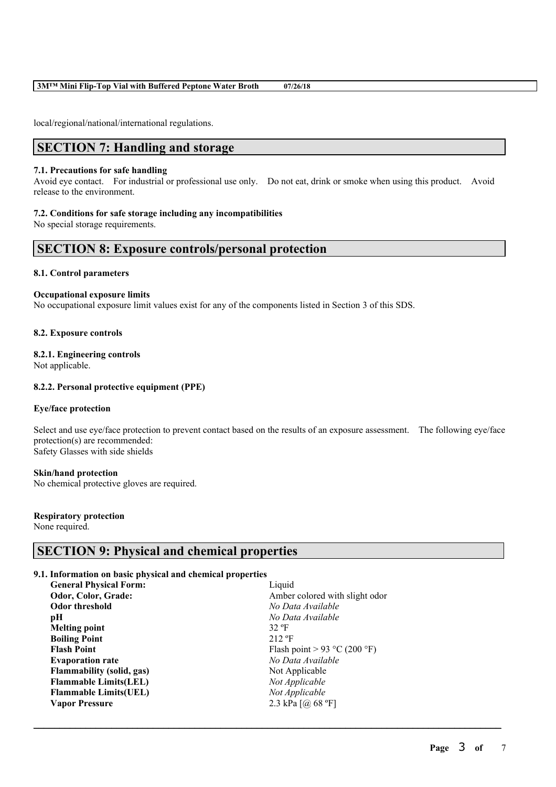### **3M™ Mini Flip-Top Vial with Buffered Peptone Water Broth 07/26/18**

local/regional/national/international regulations.

## **SECTION 7: Handling and storage**

#### **7.1. Precautions for safe handling**

Avoid eye contact. For industrial or professional use only. Do not eat, drink or smoke when using this product. Avoid release to the environment.

### **7.2. Conditions for safe storage including any incompatibilities**

No special storage requirements.

## **SECTION 8: Exposure controls/personal protection**

### **8.1. Control parameters**

#### **Occupational exposure limits**

No occupational exposure limit values exist for any of the components listed in Section 3 of this SDS.

### **8.2. Exposure controls**

## **8.2.1. Engineering controls**

Not applicable.

### **8.2.2. Personal protective equipment (PPE)**

#### **Eye/face protection**

Select and use eye/face protection to prevent contact based on the results of an exposure assessment. The following eye/face protection(s) are recommended: Safety Glasses with side shields

 $\mathcal{L}_\mathcal{L} = \mathcal{L}_\mathcal{L} = \mathcal{L}_\mathcal{L} = \mathcal{L}_\mathcal{L} = \mathcal{L}_\mathcal{L} = \mathcal{L}_\mathcal{L} = \mathcal{L}_\mathcal{L} = \mathcal{L}_\mathcal{L} = \mathcal{L}_\mathcal{L} = \mathcal{L}_\mathcal{L} = \mathcal{L}_\mathcal{L} = \mathcal{L}_\mathcal{L} = \mathcal{L}_\mathcal{L} = \mathcal{L}_\mathcal{L} = \mathcal{L}_\mathcal{L} = \mathcal{L}_\mathcal{L} = \mathcal{L}_\mathcal{L}$ 

#### **Skin/hand protection**

No chemical protective gloves are required.

### **Respiratory protection**

None required.

# **SECTION 9: Physical and chemical properties**

### **9.1. Information on basic physical and chemical properties**

| <b>General Physical Form:</b>    | Liquid                         |
|----------------------------------|--------------------------------|
| Odor, Color, Grade:              | Amber colored with slight odor |
| Odor threshold                   | No Data Available              |
| pН                               | No Data Available              |
| Melting point                    | $32$ °F                        |
| <b>Boiling Point</b>             | $212$ °F                       |
| <b>Flash Point</b>               | Flash point > 93 °C (200 °F)   |
| <b>Evaporation rate</b>          | No Data Available              |
| <b>Flammability (solid, gas)</b> | Not Applicable                 |
| <b>Flammable Limits(LEL)</b>     | Not Applicable                 |
| <b>Flammable Limits (UEL)</b>    | Not Applicable                 |
| <b>Vapor Pressure</b>            | 2.3 kPa $[@]$ 68 °F]           |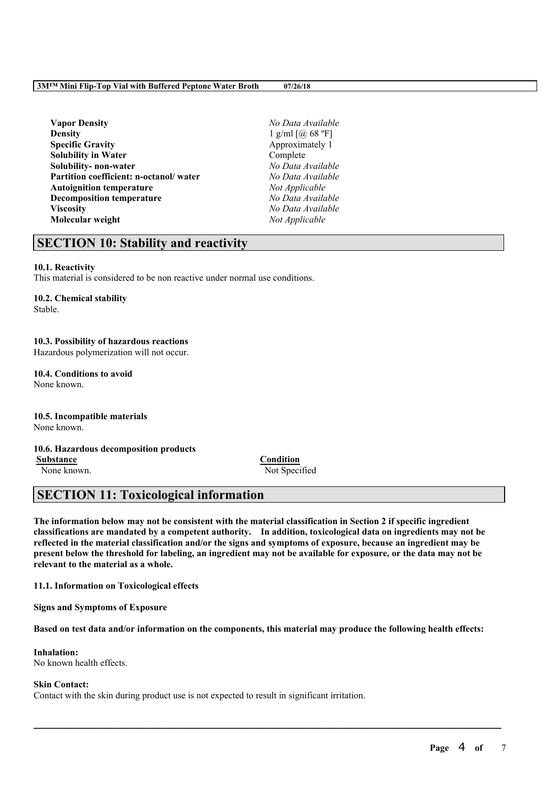**Vapor Density** *No Data Available* **Density** 1 g/ml [@ 68 °F] **Specific Gravity** Approximately 1 **Solubility in Water** Complete **Solubility- non-water** *No Data Available* **Partition coefficient: n-octanol/ water** *No Data Available* Autoignition temperature **Decomposition temperature** *No Data Available* **Viscosity** *No Data Available* **Molecular weight** *Not Applicable*

# **SECTION 10: Stability and reactivity**

### **10.1. Reactivity**

This material is considered to be non reactive under normal use conditions.

## **10.2. Chemical stability**

Stable.

# **10.3. Possibility of hazardous reactions**

Hazardous polymerization will not occur.

#### **10.4. Conditions to avoid** None known.

**10.5. Incompatible materials** None known.

# **10.6. Hazardous decomposition products**

**Substance Condition** None known. Not Specified

# **SECTION 11: Toxicological information**

The information below may not be consistent with the material classification in Section 2 if specific ingredient **classifications are mandated by a competent authority. In addition, toxicological data on ingredients may not be** reflected in the material classification and/or the signs and symptoms of exposure, because an ingredient may be present below the threshold for labeling, an ingredient may not be available for exposure, or the data may not be **relevant to the material as a whole.**

**11.1. Information on Toxicological effects**

**Signs and Symptoms of Exposure**

Based on test data and/or information on the components, this material may produce the following health effects:

 $\mathcal{L}_\mathcal{L} = \mathcal{L}_\mathcal{L} = \mathcal{L}_\mathcal{L} = \mathcal{L}_\mathcal{L} = \mathcal{L}_\mathcal{L} = \mathcal{L}_\mathcal{L} = \mathcal{L}_\mathcal{L} = \mathcal{L}_\mathcal{L} = \mathcal{L}_\mathcal{L} = \mathcal{L}_\mathcal{L} = \mathcal{L}_\mathcal{L} = \mathcal{L}_\mathcal{L} = \mathcal{L}_\mathcal{L} = \mathcal{L}_\mathcal{L} = \mathcal{L}_\mathcal{L} = \mathcal{L}_\mathcal{L} = \mathcal{L}_\mathcal{L}$ 

# **Inhalation:**

No known health effects.

### **Skin Contact:**

Contact with the skin during product use is not expected to result in significant irritation.

**Page** 4 **of** 7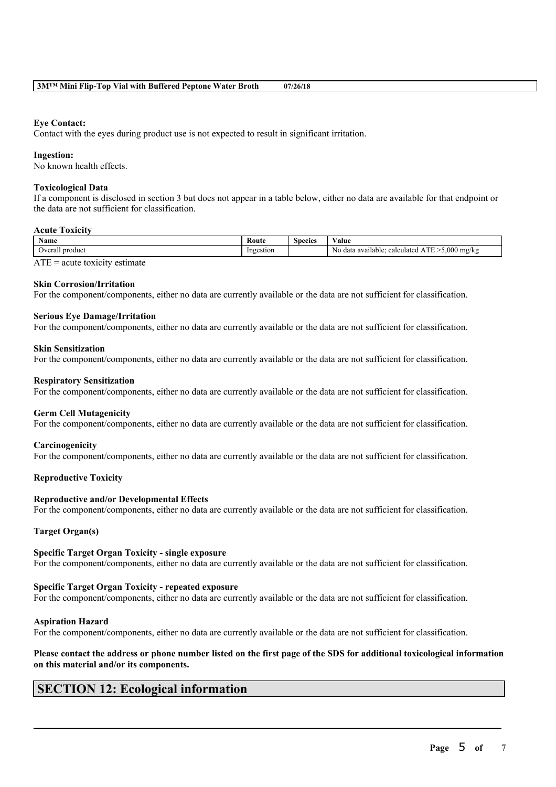### **Eye Contact:**

Contact with the eyes during product use is not expected to result in significant irritation.

### **Ingestion:**

No known health effects.

### **Toxicological Data**

If a component is disclosed in section 3 but does not appear in a table below, either no data are available for that endpoint or the data are not sufficient for classification.

### **Acute Toxicity**

| Name            | Route            | Species | $-1$<br>'alue                                                                       |
|-----------------|------------------|---------|-------------------------------------------------------------------------------------|
| Overall product | restion<br>Inges |         | 5.000<br><b>CONTRACT</b><br>mg/kg<br>calculated<br>o data available:<br>No<br><br>. |
| <b>THE</b>      |                  |         |                                                                                     |

 $ATE = acute$  toxicity estimate

### **Skin Corrosion/Irritation**

For the component/components, either no data are currently available or the data are not sufficient for classification.

### **Serious Eye Damage/Irritation**

For the component/components, either no data are currently available or the data are not sufficient for classification.

### **Skin Sensitization**

For the component/components, either no data are currently available or the data are not sufficient for classification.

### **Respiratory Sensitization**

For the component/components, either no data are currently available or the data are not sufficient for classification.

### **Germ Cell Mutagenicity**

For the component/components, either no data are currently available or the data are not sufficient for classification.

### **Carcinogenicity**

For the component/components, either no data are currently available or the data are not sufficient for classification.

### **Reproductive Toxicity**

### **Reproductive and/or Developmental Effects**

For the component/components, either no data are currently available or the data are not sufficient for classification.

### **Target Organ(s)**

### **Specific Target Organ Toxicity - single exposure**

For the component/components, either no data are currently available or the data are not sufficient for classification.

### **Specific Target Organ Toxicity - repeated exposure**

For the component/components, either no data are currently available or the data are not sufficient for classification.

### **Aspiration Hazard**

For the component/components, either no data are currently available or the data are not sufficient for classification.

### Please contact the address or phone number listed on the first page of the SDS for additional toxicological information **on this material and/or its components.**

 $\mathcal{L}_\mathcal{L} = \mathcal{L}_\mathcal{L} = \mathcal{L}_\mathcal{L} = \mathcal{L}_\mathcal{L} = \mathcal{L}_\mathcal{L} = \mathcal{L}_\mathcal{L} = \mathcal{L}_\mathcal{L} = \mathcal{L}_\mathcal{L} = \mathcal{L}_\mathcal{L} = \mathcal{L}_\mathcal{L} = \mathcal{L}_\mathcal{L} = \mathcal{L}_\mathcal{L} = \mathcal{L}_\mathcal{L} = \mathcal{L}_\mathcal{L} = \mathcal{L}_\mathcal{L} = \mathcal{L}_\mathcal{L} = \mathcal{L}_\mathcal{L}$ 

# **SECTION 12: Ecological information**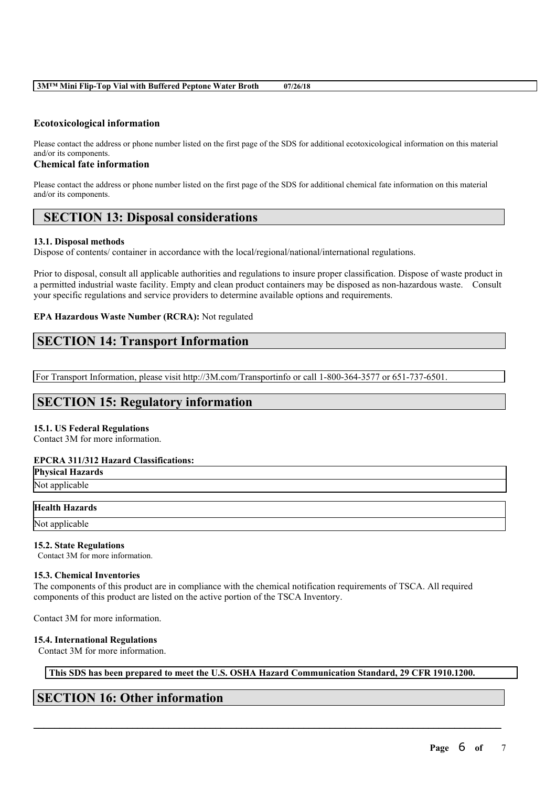### **3M™ Mini Flip-Top Vial with Buffered Peptone Water Broth 07/26/18**

### **Ecotoxicological information**

Please contact the address or phone number listed on the first page of the SDS for additional ecotoxicological information on this material and/or its components.

### **Chemical fate information**

Please contact the address or phone number listed on the first page of the SDS for additional chemical fate information on this material and/or its components.

# **SECTION 13: Disposal considerations**

### **13.1. Disposal methods**

Dispose of contents/ container in accordance with the local/regional/national/international regulations.

Prior to disposal, consult all applicable authorities and regulations to insure proper classification. Dispose of waste product in a permitted industrial waste facility. Empty and clean product containers may be disposed as non-hazardous waste. Consult your specific regulations and service providers to determine available options and requirements.

### **EPA Hazardous Waste Number (RCRA):** Not regulated

# **SECTION 14: Transport Information**

For Transport Information, please visit http://3M.com/Transportinfo or call 1-800-364-3577 or 651-737-6501.

# **SECTION 15: Regulatory information**

### **15.1. US Federal Regulations**

Contact 3M for more information.

### **EPCRA 311/312 Hazard Classifications:**

**Physical Hazards** Not applicable

### **Health Hazards**

Not applicable

### **15.2. State Regulations**

Contact 3M for more information.

### **15.3. Chemical Inventories**

The components of this product are in compliance with the chemical notification requirements of TSCA. All required components of this product are listed on the active portion of the TSCA Inventory.

Contact 3M for more information.

### **15.4. International Regulations**

Contact 3M for more information.

**This SDS has been prepared to meet the U.S. OSHA Hazard Communication Standard, 29 CFR 1910.1200.**

 $\mathcal{L}_\mathcal{L} = \mathcal{L}_\mathcal{L} = \mathcal{L}_\mathcal{L} = \mathcal{L}_\mathcal{L} = \mathcal{L}_\mathcal{L} = \mathcal{L}_\mathcal{L} = \mathcal{L}_\mathcal{L} = \mathcal{L}_\mathcal{L} = \mathcal{L}_\mathcal{L} = \mathcal{L}_\mathcal{L} = \mathcal{L}_\mathcal{L} = \mathcal{L}_\mathcal{L} = \mathcal{L}_\mathcal{L} = \mathcal{L}_\mathcal{L} = \mathcal{L}_\mathcal{L} = \mathcal{L}_\mathcal{L} = \mathcal{L}_\mathcal{L}$ 

# **SECTION 16: Other information**